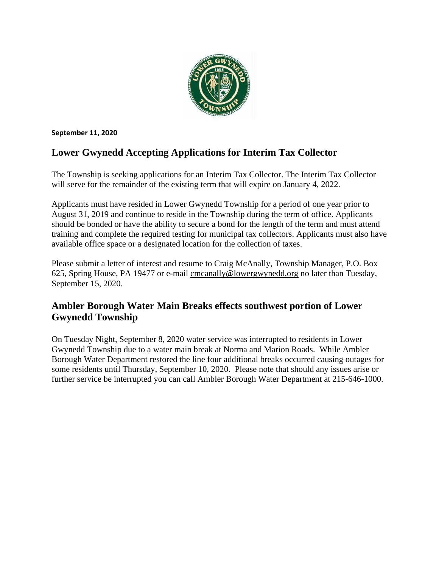

#### **September 11, 2020**

## **Lower Gwynedd Accepting Applications for Interim Tax Collector**

The Township is seeking applications for an Interim Tax Collector. The Interim Tax Collector will serve for the remainder of the existing term that will expire on January 4, 2022.

Applicants must have resided in Lower Gwynedd Township for a period of one year prior to August 31, 2019 and continue to reside in the Township during the term of office. Applicants should be bonded or have the ability to secure a bond for the length of the term and must attend training and complete the required testing for municipal tax collectors. Applicants must also have available office space or a designated location for the collection of taxes.

Please submit a letter of interest and resume to Craig McAnally, Township Manager, P.O. Box 625, Spring House, PA 19477 or e-mail [cmcanally@lowergwynedd.org](mailto:cmcanally@lowergwynedd.org) no later than Tuesday, September 15, 2020.

## **Ambler Borough Water Main Breaks effects southwest portion of Lower Gwynedd Township**

On Tuesday Night, September 8, 2020 water service was interrupted to residents in Lower Gwynedd Township due to a water main break at Norma and Marion Roads. While Ambler Borough Water Department restored the line four additional breaks occurred causing outages for some residents until Thursday, September 10, 2020. Please note that should any issues arise or further service be interrupted you can call Ambler Borough Water Department at 215-646-1000.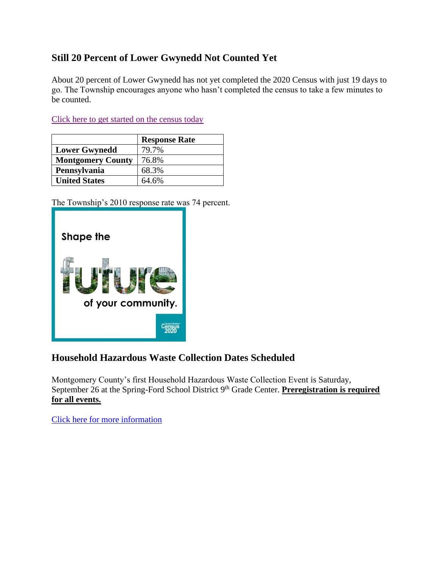## **Still 20 Percent of Lower Gwynedd Not Counted Yet**

About 20 percent of Lower Gwynedd has not yet completed the 2020 Census with just 19 days to go. The Township encourages anyone who hasn't completed the census to take a few minutes to be counted.

[Click here to get started on the census today](https://2020census.gov/en/news-events/operational-adjustments-covid-19.html)

|                          | <b>Response Rate</b> |
|--------------------------|----------------------|
| <b>Lower Gwynedd</b>     | 79.7%                |
| <b>Montgomery County</b> | 76.8%                |
| Pennsylvania             | 68.3%                |
| <b>United States</b>     | 64.6%                |

The Township's 2010 response rate was 74 percent.



### **Household Hazardous Waste Collection Dates Scheduled**

Montgomery County's first Household Hazardous Waste Collection Event is Saturday, September 26 at the Spring-Ford School District 9<sup>th</sup> Grade Center. **Preregistration is required for all events.**

[Click here for more information](https://www.montcopa.org/706/Household-Hazardous-Waste-Collection-Pro)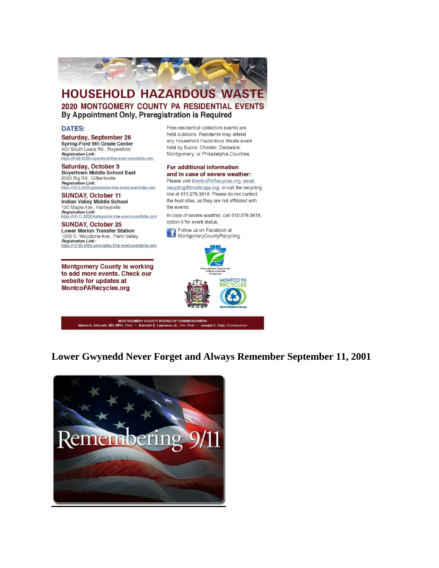

#### **HOUSEHOLD HAZARDOUS WASTE** 2020 MONTGOMERY COUNTY PA RESIDENTIAL EVENTS By Appointment Only, Preregistration is Required

#### **DATES:**

Saturday, September 26 Spring-Ford 9th Grade Center 400 South Lewis Rd., Royersford **Registration Link:** https://9-26-2020-royersford-hhw-event.eventbrite.com

Saturday, October 3 **Boyertown Middle School East** 2020 Big Rd., Gilbertsville Registration Link:<br>https://10-3-2020-gilbertsville-hhw-event.eventbrite.com

**SUNDAY, October 11** Indian Valley Middle School 130 Maple Ave., Harleysville<br>Registration Link: https://10-11-2020-harleysville-hhw-event.eventbrite.com

**SUNDAY, October 25 Lower Merion Transfer Station** 1300 N. Woodbine Ave., Penn Valley **Registration Link:** https://10-25-2020-pennvalley-hhw-event.eventbrite.com

**Montgomery County is working** to add more events. Check our website for updates at MontcoPARecycles.org

Free residential collection events are held outdoors. Residents may attend any Household Hazardous Waste event held by Bucks, Chester, Delaware, Montgomery, or Philadelphia Counties.

#### For additional information and in case of severe weather: Please visit MontcoPARecycles.org, email

recycling@montcopa.org, or call the recycling line at 610.278.3618. Please do not contact the host sites, as they are not affiliated with the events.

In case of severe weather, call 610.278.3618, option 6 for event status.



MONTGOMERY COUNTY BOARD OF COMMISSIONERS rie A. Arkoosh, MD, MPH, *Cl* Kenneth E. La  $h C.$  Gale,  $C_0$ 

Lower Gwynedd Never Forget and Always Remember September 11, 2001